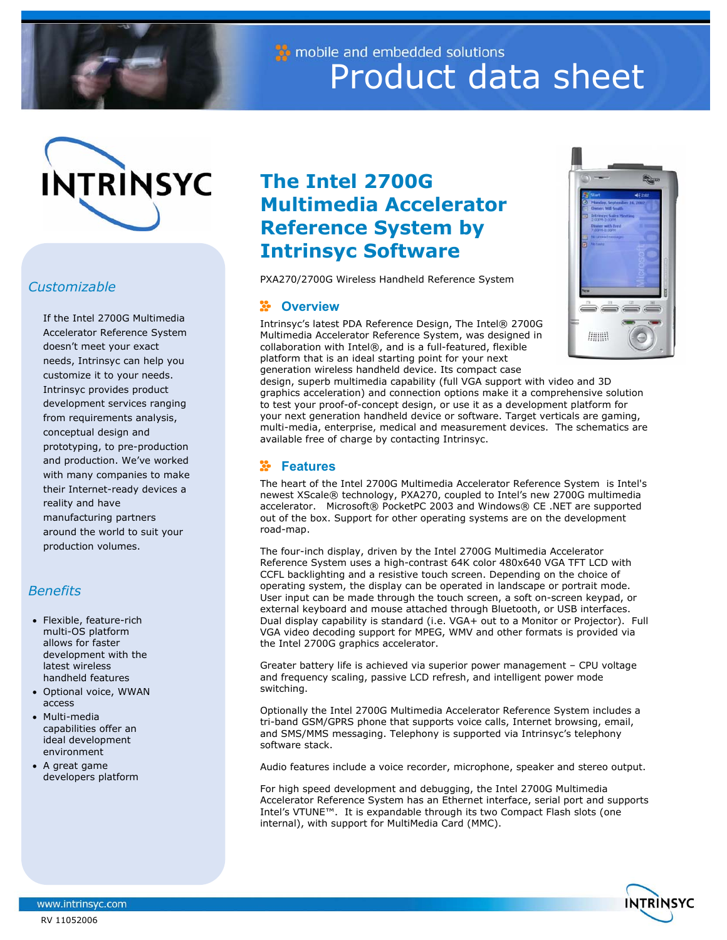

mobile and embedded solutions Product data sheet



## *Customizable*

If the Intel 2700G Multimedia Accelerator Reference System doesn't meet your exact needs, Intrinsyc can help you customize it to your needs. Intrinsyc provides product development services ranging from requirements analysis, conceptual design and prototyping, to pre-production and production. We've worked with many companies to make their Internet-ready devices a reality and have manufacturing partners around the world to suit your production volumes.

## *Benefits*

- Flexible, feature-rich multi-OS platform allows for faster development with the latest wireless handheld features
- Optional voice, WWAN access
- Multi-media capabilities offer an ideal development environment
- A great game developers platform

# **The Intel 2700G Multimedia Accelerator Reference System by Intrinsyc Software**

PXA270/2700G Wireless Handheld Reference System

#### ÷ **Overview**

Intrinsyc's latest PDA Reference Design, The Intel® 2700G Multimedia Accelerator Reference System, was designed in collaboration with Intel®, and is a full-featured, flexible platform that is an ideal starting point for your next generation wireless handheld device. Its compact case



design, superb multimedia capability (full VGA support with video and 3D graphics acceleration) and connection options make it a comprehensive solution to test your proof-of-concept design, or use it as a development platform for your next generation handheld device or software. Target verticals are gaming, multi-media, enterprise, medical and measurement devices. The schematics are available free of charge by contacting Intrinsyc.

## **Features**

The heart of the Intel 2700G Multimedia Accelerator Reference System is Intel's newest XScale® technology, PXA270, coupled to Intel's new 2700G multimedia accelerator. Microsoft® PocketPC 2003 and Windows® CE .NET are supported out of the box. Support for other operating systems are on the development road-map.

The four-inch display, driven by the Intel 2700G Multimedia Accelerator Reference System uses a high-contrast 64K color 480x640 VGA TFT LCD with CCFL backlighting and a resistive touch screen. Depending on the choice of operating system, the display can be operated in landscape or portrait mode. User input can be made through the touch screen, a soft on-screen keypad, or external keyboard and mouse attached through Bluetooth, or USB interfaces. Dual display capability is standard (i.e. VGA+ out to a Monitor or Projector). Full VGA video decoding support for MPEG, WMV and other formats is provided via the Intel 2700G graphics accelerator.

Greater battery life is achieved via superior power management – CPU voltage and frequency scaling, passive LCD refresh, and intelligent power mode switching.

Optionally the Intel 2700G Multimedia Accelerator Reference System includes a tri-band GSM/GPRS phone that supports voice calls, Internet browsing, email, and SMS/MMS messaging. Telephony is supported via Intrinsyc's telephony software stack.

Audio features include a voice recorder, microphone, speaker and stereo output.

For high speed development and debugging, the Intel 2700G Multimedia Accelerator Reference System has an Ethernet interface, serial port and supports Intel's VTUNE™. It is expandable through its two Compact Flash slots (one internal), with support for MultiMedia Card (MMC).